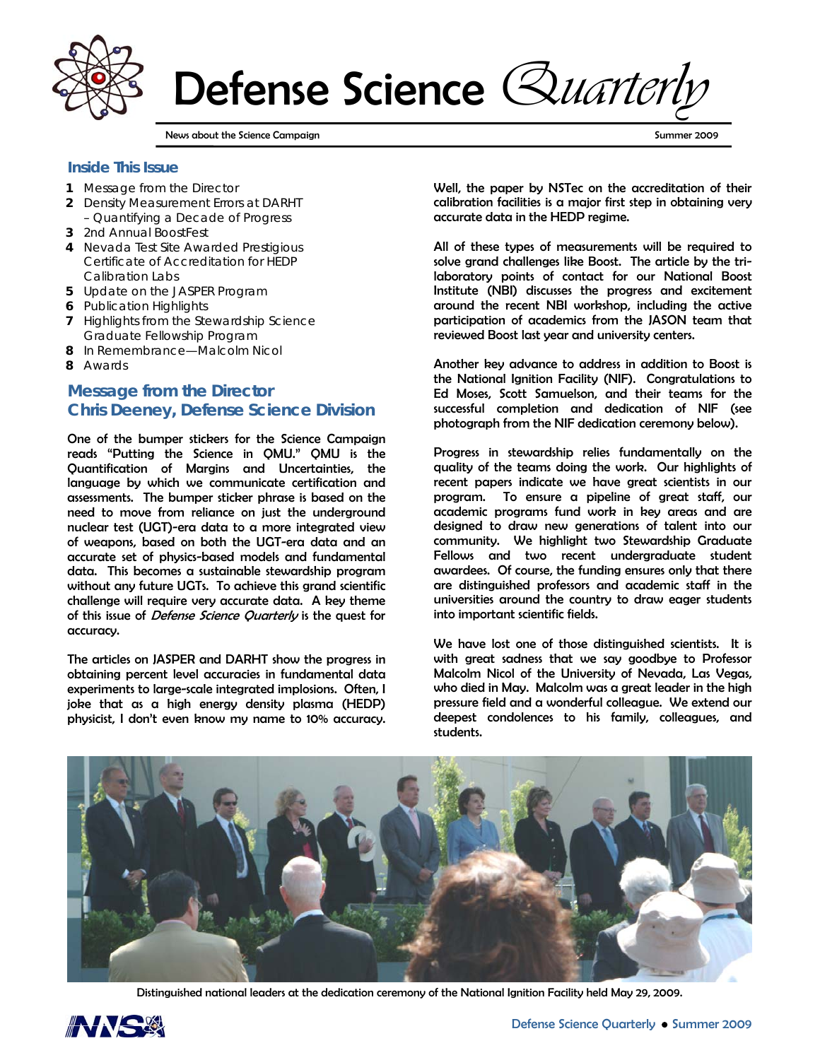

Defense Science *Quarterly*

News about the Science Campaign Summer 2009 (Summer 2009 of Summer 2009 of Summer 2009 of Summer 2009 of Summer 2009

### **Inside This Issue**

- **1** Message from the Director
- **2** Density Measurement Errors at DARHT – Quantifying a Decade of Progress
- **3** 2nd Annual BoostFest
- **4** Nevada Test Site Awarded Prestigious Certificate of Accreditation for HEDP Calibration Labs
- **5** Update on the JASPER Program
- **6** Publication Highlights
- **7** Highlights from the Stewardship Science Graduate Fellowship Program
- **8** In Remembrance—Malcolm Nicol
- **8** Awards

# **Message from the Director Chris Deeney, Defense Science Division**

One of the bumper stickers for the Science Campaign reads "Putting the Science in QMU." QMU is the Quantification of Margins and Uncertainties, the language by which we communicate certification and assessments. The bumper sticker phrase is based on the need to move from reliance on just the underground nuclear test (UGT)-era data to a more integrated view of weapons, based on both the UGT-era data and an accurate set of physics-based models and fundamental data. This becomes a sustainable stewardship program without any future UGTs. To achieve this grand scientific challenge will require very accurate data. A key theme of this issue of *Defense Science Quarterly* is the quest for accuracy.

The articles on JASPER and DARHT show the progress in obtaining percent level accuracies in fundamental data experiments to large-scale integrated implosions. Often, I joke that as a high energy density plasma (HEDP) physicist, I don't even know my name to 10% accuracy.

Well, the paper by NSTec on the accreditation of their calibration facilities is a major first step in obtaining very accurate data in the HEDP regime.

All of these types of measurements will be required to solve grand challenges like Boost. The article by the trilaboratory points of contact for our National Boost Institute (NBI) discusses the progress and excitement around the recent NBI workshop, including the active participation of academics from the JASON team that reviewed Boost last year and university centers.

Another key advance to address in addition to Boost is the National Ignition Facility (NIF). Congratulations to Ed Moses, Scott Samuelson, and their teams for the successful completion and dedication of NIF (see photograph from the NIF dedication ceremony below).

Progress in stewardship relies fundamentally on the quality of the teams doing the work. Our highlights of recent papers indicate we have great scientists in our program. To ensure a pipeline of great staff, our academic programs fund work in key areas and are designed to draw new generations of talent into our community. We highlight two Stewardship Graduate Fellows and two recent undergraduate student awardees. Of course, the funding ensures only that there are distinguished professors and academic staff in the universities around the country to draw eager students into important scientific fields.

We have lost one of those distinguished scientists. It is with great sadness that we say goodbye to Professor Malcolm Nicol of the University of Nevada, Las Vegas, who died in May. Malcolm was a great leader in the high pressure field and a wonderful colleague. We extend our deepest condolences to his family, colleagues, and students.



Distinguished national leaders at the dedication ceremony of the National Ignition Facility held May 29, 2009.

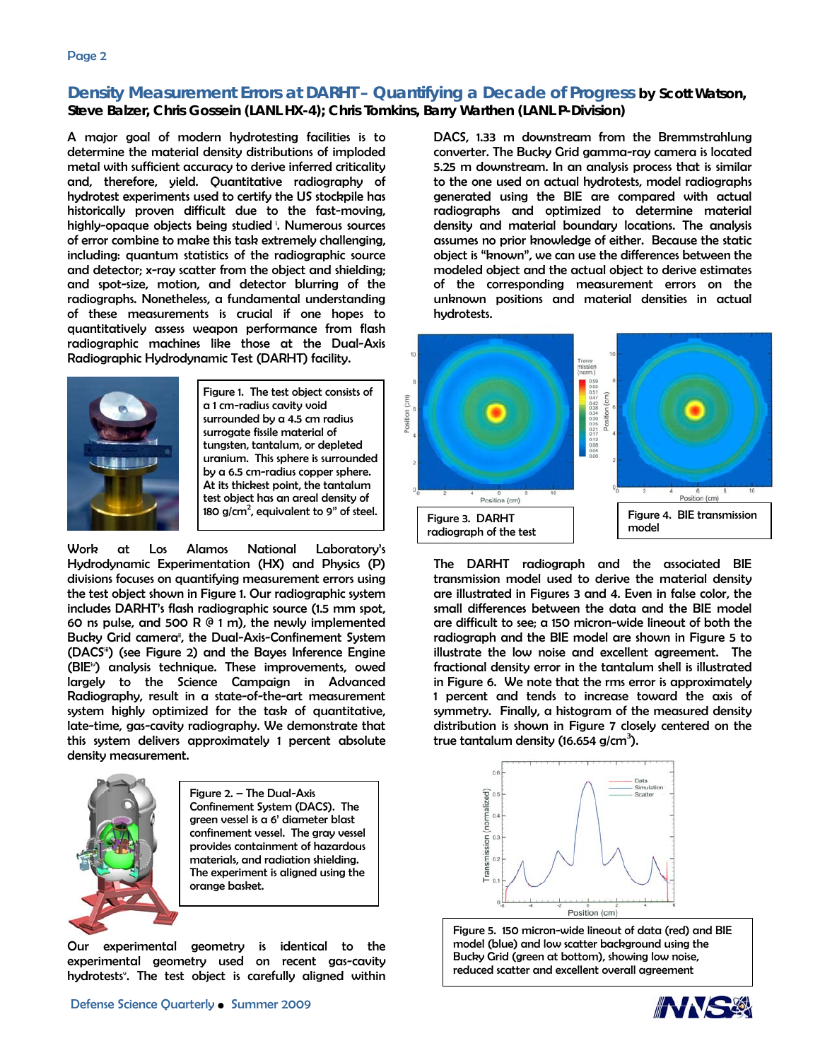## **Density Measurement Errors at DARHT – Quantifying a Decade of Progress by Scott Watson, Steve Balzer, Chris Gossein (LANL HX-4); Chris Tomkins, Barry Warthen (LANL P-Division)**

A major goal of modern hydrotesting facilities is to determine the material density distributions of imploded metal with sufficient accuracy to derive inferred criticality and, therefore, yield. Quantitative radiography of hydrotest experiments used to certify the US stockpile has historically proven difficult due to the fast-moving, highly-opaque objects being studied i. Numerous sources of error combine to make this task extremely challenging, including: quantum statistics of the radiographic source and detector; x-ray scatter from the object and shielding; and spot-size, motion, and detector blurring of the radiographs. Nonetheless, a fundamental understanding of these measurements is crucial if one hopes to quantitatively assess weapon performance from flash radiographic machines like those at the Dual-Axis Radiographic Hydrodynamic Test (DARHT) facility.



Figure 1. The test object consists of a 1 cm-radius cavity void surrounded by a 4.5 cm radius surrogate fissile material of tungsten, tantalum, or depleted uranium. This sphere is surrounded by a 6.5 cm-radius copper sphere. At its thickest point, the tantalum test object has an areal density of 180 g/cm<sup>2</sup>, equivalent to 9" of steel.

Work at Los Alamos National Laboratory's Hydrodynamic Experimentation (HX) and Physics (P) divisions focuses on quantifying measurement errors using the test object shown in Figure 1. Our radiographic system includes DARHT's flash radiographic source (1.5 mm spot, 60 ns pulse, and 500 R  $($  1 m), the newly implemented Bucky Grid camera<sup>®</sup>, the Dual-Axis-Confinement System (DACS<sup>iii</sup>) (see Figure 2) and the Bayes Inference Engine (BIE<sup>®</sup>) analysis technique. These improvements, owed largely to the Science Campaign in Advanced Radiography, result in a state-of-the-art measurement system highly optimized for the task of quantitative, late-time, gas-cavity radiography. We demonstrate that this system delivers approximately 1 percent absolute density measurement.



Figure 2. – The Dual-Axis Confinement System (DACS). The green vessel is a 6' diameter blast confinement vessel. The gray vessel provides containment of hazardous materials, and radiation shielding. The experiment is aligned using the orange basket.

Our experimental geometry is identical to the experimental geometry used on recent gas-cavity hydrotests<sup>®</sup>. The test object is carefully aligned within

DACS, 1.33 m downstream from the Bremmstrahlung converter. The Bucky Grid gamma-ray camera is located 5.25 m downstream. In an analysis process that is similar to the one used on actual hydrotests, model radiographs generated using the BIE are compared with actual radiographs and optimized to determine material density and material boundary locations. The analysis assumes no prior knowledge of either. Because the static object is "known", we can use the differences between the modeled object and the actual object to derive estimates of the corresponding measurement errors on the unknown positions and material densities in actual hydrotests.



The DARHT radiograph and the associated BIE transmission model used to derive the material density are illustrated in Figures 3 and 4. Even in false color, the small differences between the data and the BIE model are difficult to see; a 150 micron-wide lineout of both the radiograph and the BIE model are shown in Figure 5 to illustrate the low noise and excellent agreement. The fractional density error in the tantalum shell is illustrated in Figure 6. We note that the rms error is approximately 1 percent and tends to increase toward the axis of symmetry. Finally, a histogram of the measured density distribution is shown in Figure 7 closely centered on the true tantalum density (16.654 g/cm $^3$ ).



Figure 5. 150 micron-wide lineout of data (red) and BIE model (blue) and low scatter background using the Bucky Grid (green at bottom), showing low noise, reduced scatter and excellent overall agreement

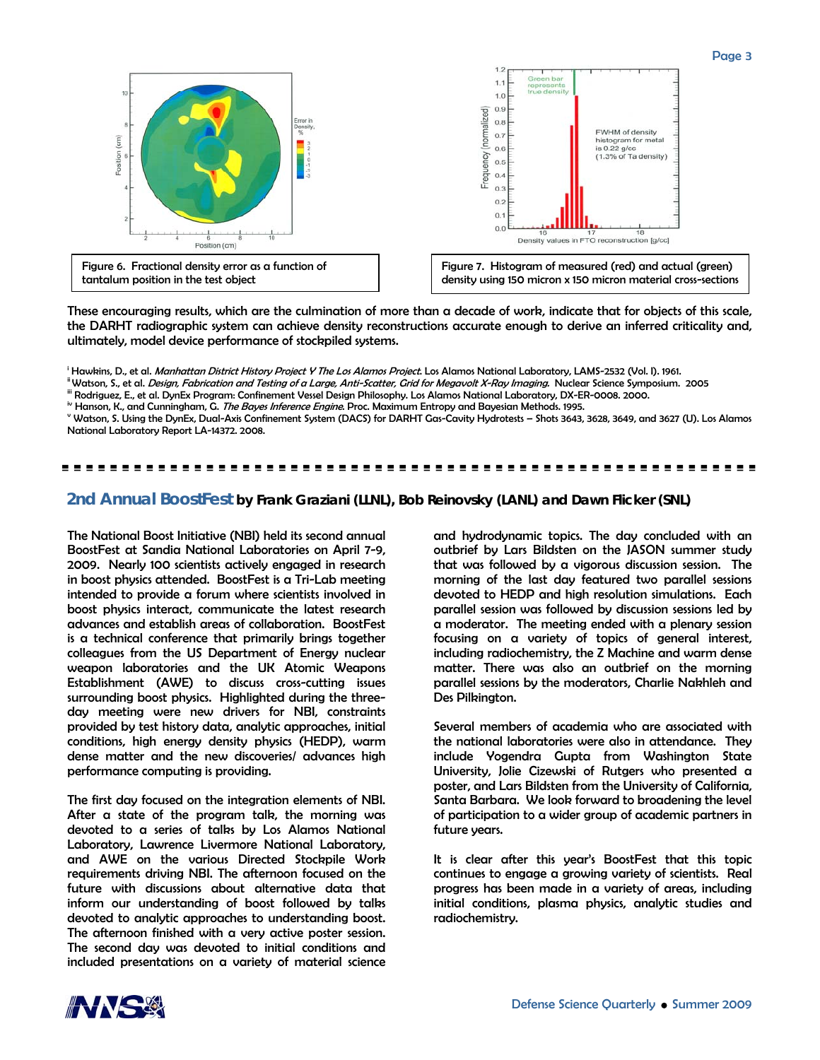

Page 3



These encouraging results, which are the culmination of more than a decade of work, indicate that for objects of this scale, the DARHT radiographic system can achieve density reconstructions accurate enough to derive an inferred criticality and, ultimately, model device performance of stockpiled systems.

<sup>i</sup> Hawkins, D., et al. *Manhattan District History Project Y The Los Alamos Project*. Los Alamos National Laboratory, LAMS-2532 (Vol. I). 1961.

" Watson, S., et al. *Design, Fabrication and Testing of a Large, Anti-Scatter, Grid for Megavolt X-Ray Imaging.* Nuclear Science Symposium. 2005<br>"" Rodriguez, E., et al. DynEx Program: Confinement Vessel Design Philosoph

 Watson, S. Using the DynEx, Dual-Axis Confinement System (DACS) for DARHT Gas-Cavity Hydrotests – Shots 3643, 3628, 3649, and 3627 (U). Los Alamos National Laboratory Report LA-14372. 2008.

#### ----------------------------------------

### **2nd Annual BoostFest by Frank Graziani (LLNL), Bob Reinovsky (LANL) and Dawn Flicker (SNL)**

The National Boost Initiative (NBI) held its second annual BoostFest at Sandia National Laboratories on April 7-9, 2009. Nearly 100 scientists actively engaged in research in boost physics attended. BoostFest is a Tri-Lab meeting intended to provide a forum where scientists involved in boost physics interact, communicate the latest research advances and establish areas of collaboration. BoostFest is a technical conference that primarily brings together colleagues from the US Department of Energy nuclear weapon laboratories and the UK Atomic Weapons Establishment (AWE) to discuss cross-cutting issues surrounding boost physics. Highlighted during the threeday meeting were new drivers for NBI, constraints provided by test history data, analytic approaches, initial conditions, high energy density physics (HEDP), warm dense matter and the new discoveries/ advances high performance computing is providing.

The first day focused on the integration elements of NBI. After a state of the program talk, the morning was devoted to a series of talks by Los Alamos National Laboratory, Lawrence Livermore National Laboratory, and AWE on the various Directed Stockpile Work requirements driving NBI. The afternoon focused on the future with discussions about alternative data that inform our understanding of boost followed by talks devoted to analytic approaches to understanding boost. The afternoon finished with a very active poster session. The second day was devoted to initial conditions and included presentations on a variety of material science

and hydrodynamic topics. The day concluded with an outbrief by Lars Bildsten on the JASON summer study that was followed by a vigorous discussion session. The morning of the last day featured two parallel sessions devoted to HEDP and high resolution simulations. Each parallel session was followed by discussion sessions led by a moderator. The meeting ended with a plenary session focusing on a variety of topics of general interest, including radiochemistry, the Z Machine and warm dense matter. There was also an outbrief on the morning parallel sessions by the moderators, Charlie Nakhleh and Des Pilkington.

Several members of academia who are associated with the national laboratories were also in attendance. They include Yogendra Gupta from Washington State University, Jolie Cizewski of Rutgers who presented a poster, and Lars Bildsten from the University of California, Santa Barbara. We look forward to broadening the level of participation to a wider group of academic partners in future years.

It is clear after this year's BoostFest that this topic continues to engage a growing variety of scientists. Real progress has been made in a variety of areas, including initial conditions, plasma physics, analytic studies and radiochemistry.

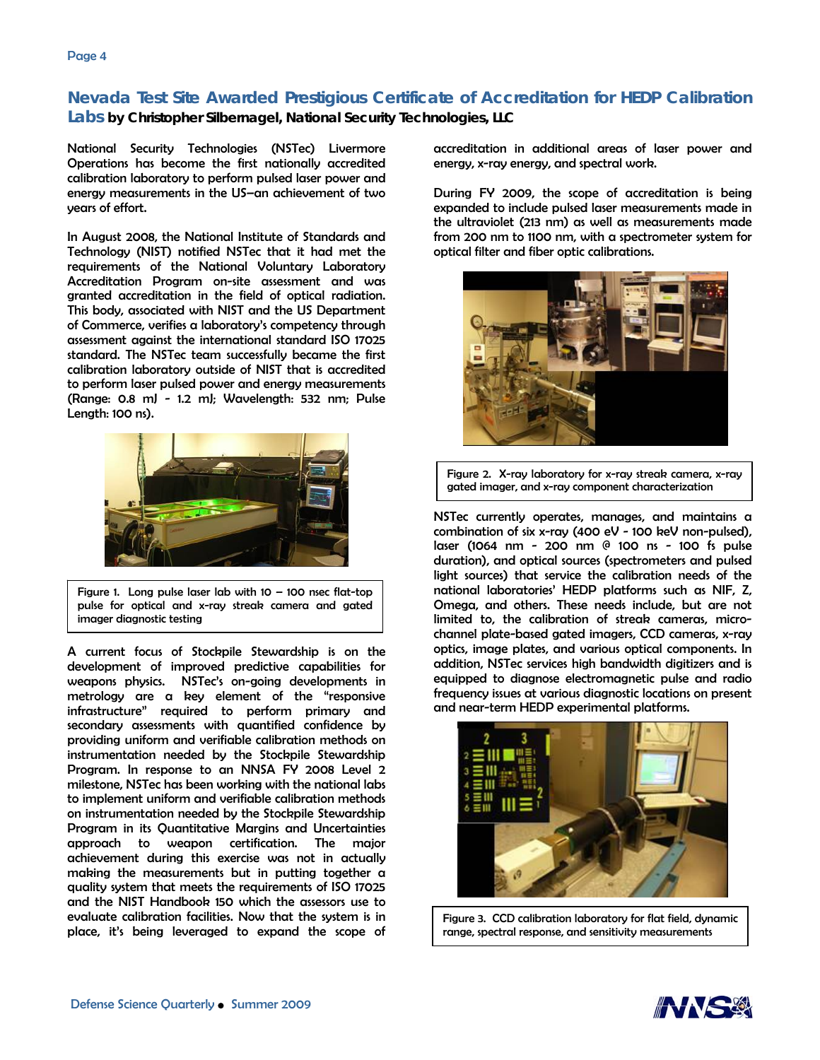# **Nevada Test Site Awarded Prestigious Certificate of Accreditation for HEDP Calibration Labs by Christopher Silbernagel, National Security Technologies, LLC**

National Security Technologies (NSTec) Livermore Operations has become the first nationally accredited calibration laboratory to perform pulsed laser power and energy measurements in the US–an achievement of two years of effort.

In August 2008, the National Institute of Standards and Technology (NIST) notified NSTec that it had met the requirements of the National Voluntary Laboratory Accreditation Program on-site assessment and was granted accreditation in the field of optical radiation. This body, associated with NIST and the US Department of Commerce, verifies a laboratory's competency through assessment against the international standard ISO 17025 standard. The NSTec team successfully became the first calibration laboratory outside of NIST that is accredited to perform laser pulsed power and energy measurements (Range: 0.8 mJ - 1.2 mJ; Wavelength: 532 nm; Pulse Length: 100 ns).



Figure 1. Long pulse laser lab with  $10 - 100$  nsec flat-top pulse for optical and x-ray streak camera and gated imager diagnostic testing

A current focus of Stockpile Stewardship is on the development of improved predictive capabilities for weapons physics. NSTec's on-going developments in metrology are a key element of the "responsive infrastructure" required to perform primary and secondary assessments with quantified confidence by providing uniform and verifiable calibration methods on instrumentation needed by the Stockpile Stewardship Program. In response to an NNSA FY 2008 Level 2 milestone, NSTec has been working with the national labs to implement uniform and verifiable calibration methods on instrumentation needed by the Stockpile Stewardship Program in its Quantitative Margins and Uncertainties approach to weapon certification. The major achievement during this exercise was not in actually making the measurements but in putting together a quality system that meets the requirements of ISO 17025 and the NIST Handbook 150 which the assessors use to evaluate calibration facilities. Now that the system is in place, it's being leveraged to expand the scope of

accreditation in additional areas of laser power and energy, x-ray energy, and spectral work.

During FY 2009, the scope of accreditation is being expanded to include pulsed laser measurements made in the ultraviolet (213 nm) as well as measurements made from 200 nm to 1100 nm, with a spectrometer system for optical filter and fiber optic calibrations.



Figure 2. X-ray laboratory for x-ray streak camera, x-ray gated imager, and x-ray component characterization

NSTec currently operates, manages, and maintains a combination of six x-ray (400 eV - 100 keV non-pulsed), laser (1064 nm - 200 nm @ 100 ns - 100 fs pulse duration), and optical sources (spectrometers and pulsed light sources) that service the calibration needs of the national laboratories' HEDP platforms such as NIF, Z, Omega, and others. These needs include, but are not limited to, the calibration of streak cameras, microchannel plate-based gated imagers, CCD cameras, x-ray optics, image plates, and various optical components. In addition, NSTec services high bandwidth digitizers and is equipped to diagnose electromagnetic pulse and radio frequency issues at various diagnostic locations on present and near-term HEDP experimental platforms.



Figure 3. CCD calibration laboratory for flat field, dynamic range, spectral response, and sensitivity measurements

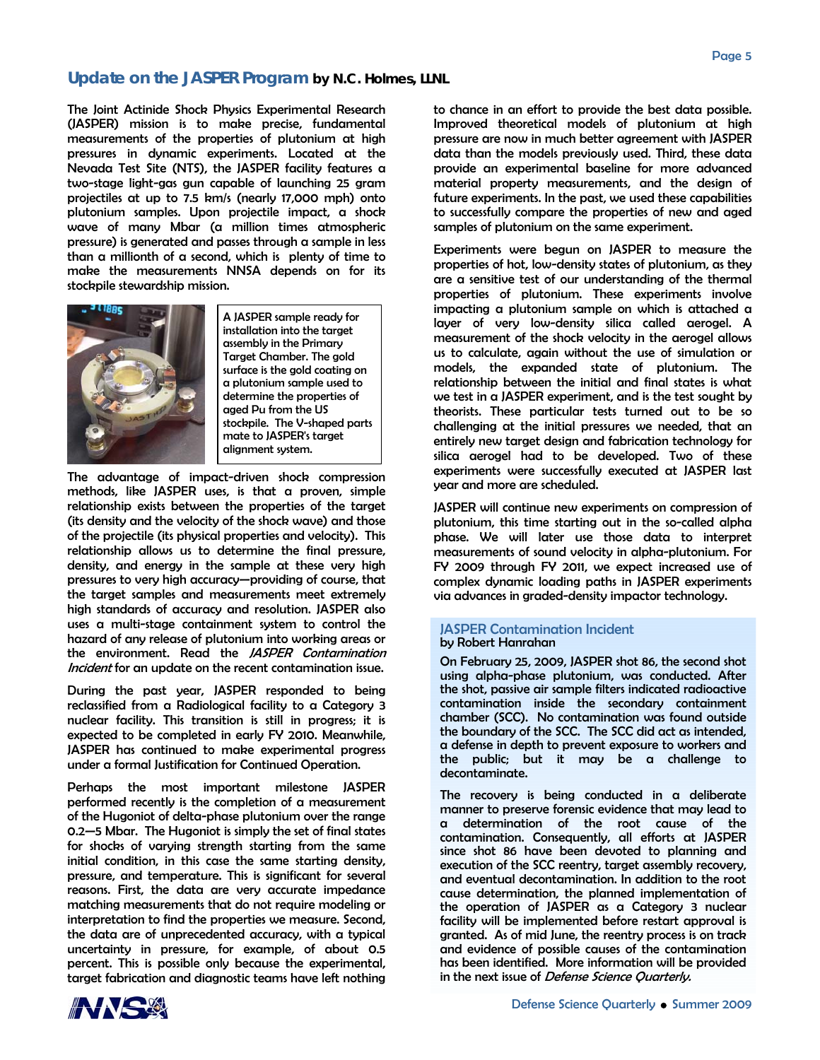### **Update on the JASPER Program by N.C. Holmes, LLNL**

The Joint Actinide Shock Physics Experimental Research (JASPER) mission is to make precise, fundamental measurements of the properties of plutonium at high pressures in dynamic experiments. Located at the Nevada Test Site (NTS), the JASPER facility features a two-stage light-gas gun capable of launching 25 gram projectiles at up to 7.5 km/s (nearly 17,000 mph) onto plutonium samples. Upon projectile impact, a shock wave of many Mbar (a million times atmospheric pressure) is generated and passes through a sample in less than a millionth of a second, which is plenty of time to make the measurements NNSA depends on for its stockpile stewardship mission.



A JASPER sample ready for installation into the target assembly in the Primary Target Chamber. The gold surface is the gold coating on a plutonium sample used to determine the properties of aged Pu from the US stockpile. The V-shaped parts mate to JASPER's target alignment system.

The advantage of impact-driven shock compression methods, like JASPER uses, is that a proven, simple relationship exists between the properties of the target (its density and the velocity of the shock wave) and those of the projectile (its physical properties and velocity). This relationship allows us to determine the final pressure, density, and energy in the sample at these very high pressures to very high accuracy—providing of course, that the target samples and measurements meet extremely high standards of accuracy and resolution. JASPER also uses a multi-stage containment system to control the hazard of any release of plutonium into working areas or the environment. Read the *JASPER Contamination* Incident for an update on the recent contamination issue.

During the past year, JASPER responded to being reclassified from a Radiological facility to a Category 3 nuclear facility. This transition is still in progress; it is expected to be completed in early FY 2010. Meanwhile, JASPER has continued to make experimental progress under a formal Justification for Continued Operation.

Perhaps the most important milestone JASPER performed recently is the completion of a measurement of the Hugoniot of delta-phase plutonium over the range 0.2—5 Mbar. The Hugoniot is simply the set of final states for shocks of varying strength starting from the same initial condition, in this case the same starting density, pressure, and temperature. This is significant for several reasons. First, the data are very accurate impedance matching measurements that do not require modeling or interpretation to find the properties we measure. Second, the data are of unprecedented accuracy, with a typical uncertainty in pressure, for example, of about 0.5 percent. This is possible only because the experimental, target fabrication and diagnostic teams have left nothing



to chance in an effort to provide the best data possible. Improved theoretical models of plutonium at high pressure are now in much better agreement with JASPER data than the models previously used. Third, these data provide an experimental baseline for more advanced material property measurements, and the design of future experiments. In the past, we used these capabilities to successfully compare the properties of new and aged samples of plutonium on the same experiment.

Experiments were begun on JASPER to measure the properties of hot, low-density states of plutonium, as they are a sensitive test of our understanding of the thermal properties of plutonium. These experiments involve impacting a plutonium sample on which is attached a layer of very low-density silica called aerogel. A measurement of the shock velocity in the aerogel allows us to calculate, again without the use of simulation or models, the expanded state of plutonium. The relationship between the initial and final states is what we test in a JASPER experiment, and is the test sought by theorists. These particular tests turned out to be so challenging at the initial pressures we needed, that an entirely new target design and fabrication technology for silica aerogel had to be developed. Two of these experiments were successfully executed at JASPER last year and more are scheduled.

JASPER will continue new experiments on compression of plutonium, this time starting out in the so-called alpha phase. We will later use those data to interpret measurements of sound velocity in alpha-plutonium. For FY 2009 through FY 2011, we expect increased use of complex dynamic loading paths in JASPER experiments via advances in graded-density impactor technology.

#### JASPER Contamination Incident by Robert Hanrahan

On February 25, 2009, JASPER shot 86, the second shot using alpha-phase plutonium, was conducted. After the shot, passive air sample filters indicated radioactive contamination inside the secondary containment chamber (SCC). No contamination was found outside the boundary of the SCC. The SCC did act as intended, a defense in depth to prevent exposure to workers and the public; but it may be a challenge to decontaminate.

The recovery is being conducted in a deliberate manner to preserve forensic evidence that may lead to a determination of the root cause of the contamination. Consequently, all efforts at JASPER since shot 86 have been devoted to planning and execution of the SCC reentry, target assembly recovery, and eventual decontamination. In addition to the root cause determination, the planned implementation of the operation of JASPER as a Category 3 nuclear facility will be implemented before restart approval is granted. As of mid June, the reentry process is on track and evidence of possible causes of the contamination has been identified. More information will be provided in the next issue of *Defense Science Quarterly*.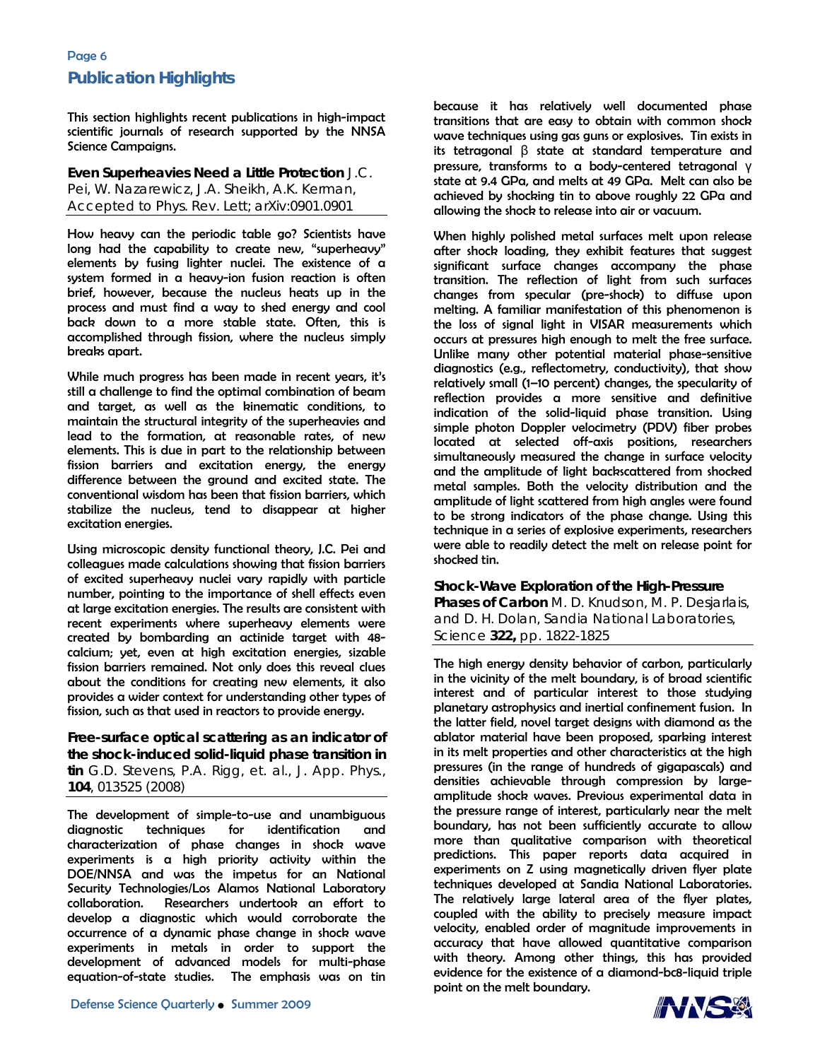# Page 6 **Publication Highlights**

This section highlights recent publications in high-impact scientific journals of research supported by the NNSA Science Campaigns.

### **Even Superheavies Need a Little Protection** J.C. Pei, W. Nazarewicz, J.A. Sheikh, A.K. Kerman, Accepted to Phys. Rev. Lett; arXiv:0901.0901

How heavy can the periodic table go? Scientists have long had the capability to create new, "superheavy" elements by fusing lighter nuclei. The existence of a system formed in a heavy-ion fusion reaction is often brief, however, because the nucleus heats up in the process and must find a way to shed energy and cool back down to a more stable state. Often, this is accomplished through fission, where the nucleus simply breaks apart.

While much progress has been made in recent years, it's still a challenge to find the optimal combination of beam and target, as well as the kinematic conditions, to maintain the structural integrity of the superheavies and lead to the formation, at reasonable rates, of new elements. This is due in part to the relationship between fission barriers and excitation energy, the energy difference between the ground and excited state. The conventional wisdom has been that fission barriers, which stabilize the nucleus, tend to disappear at higher excitation energies.

Using microscopic density functional theory, J.C. Pei and colleagues made calculations showing that fission barriers of excited superheavy nuclei vary rapidly with particle number, pointing to the importance of shell effects even at large excitation energies. The results are consistent with recent experiments where superheavy elements were created by bombarding an actinide target with 48 calcium; yet, even at high excitation energies, sizable fission barriers remained. Not only does this reveal clues about the conditions for creating new elements, it also provides a wider context for understanding other types of fission, such as that used in reactors to provide energy.

**Free-surface optical scattering as an indicator of the shock-induced solid-liquid phase transition in tin** G.D. Stevens, P.A. Rigg, et. al., J. App. Phys., **104**, 013525 (2008)

The development of simple-to-use and unambiguous diagnostic techniques for identification and characterization of phase changes in shock wave experiments is a high priority activity within the DOE/NNSA and was the impetus for an National Security Technologies/Los Alamos National Laboratory collaboration. Researchers undertook an effort to develop a diagnostic which would corroborate the occurrence of a dynamic phase change in shock wave experiments in metals in order to support the development of advanced models for multi-phase equation-of-state studies. The emphasis was on tin because it has relatively well documented phase transitions that are easy to obtain with common shock wave techniques using gas guns or explosives. Tin exists in its tetragonal β state at standard temperature and pressure, transforms to a body-centered tetragonal γ state at 9.4 GPa, and melts at 49 GPa. Melt can also be achieved by shocking tin to above roughly 22 GPa and allowing the shock to release into air or vacuum.

When highly polished metal surfaces melt upon release after shock loading, they exhibit features that suggest significant surface changes accompany the phase transition. The reflection of light from such surfaces changes from specular (pre-shock) to diffuse upon melting. A familiar manifestation of this phenomenon is the loss of signal light in VISAR measurements which occurs at pressures high enough to melt the free surface. Unlike many other potential material phase-sensitive diagnostics (e.g., reflectometry, conductivity), that show relatively small (1–10 percent) changes, the specularity of reflection provides a more sensitive and definitive indication of the solid-liquid phase transition. Using simple photon Doppler velocimetry (PDV) fiber probes located at selected off-axis positions, researchers simultaneously measured the change in surface velocity and the amplitude of light backscattered from shocked metal samples. Both the velocity distribution and the amplitude of light scattered from high angles were found to be strong indicators of the phase change. Using this technique in a series of explosive experiments, researchers were able to readily detect the melt on release point for shocked tin.

**Shock-Wave Exploration of the High-Pressure Phases of Carbon** M. D. Knudson, M. P. Desjarlais, and D. H. Dolan, Sandia National Laboratories, Science **322,** pp. 1822-1825

The high energy density behavior of carbon, particularly in the vicinity of the melt boundary, is of broad scientific interest and of particular interest to those studying planetary astrophysics and inertial confinement fusion. In the latter field, novel target designs with diamond as the ablator material have been proposed, sparking interest in its melt properties and other characteristics at the high pressures (in the range of hundreds of gigapascals) and densities achievable through compression by largeamplitude shock waves. Previous experimental data in the pressure range of interest, particularly near the melt boundary, has not been sufficiently accurate to allow more than qualitative comparison with theoretical predictions. This paper reports data acquired in experiments on Z using magnetically driven flyer plate techniques developed at Sandia National Laboratories. The relatively large lateral area of the flyer plates, coupled with the ability to precisely measure impact velocity, enabled order of magnitude improvements in accuracy that have allowed quantitative comparison with theory. Among other things, this has provided evidence for the existence of a diamond-bc8-liquid triple point on the melt boundary.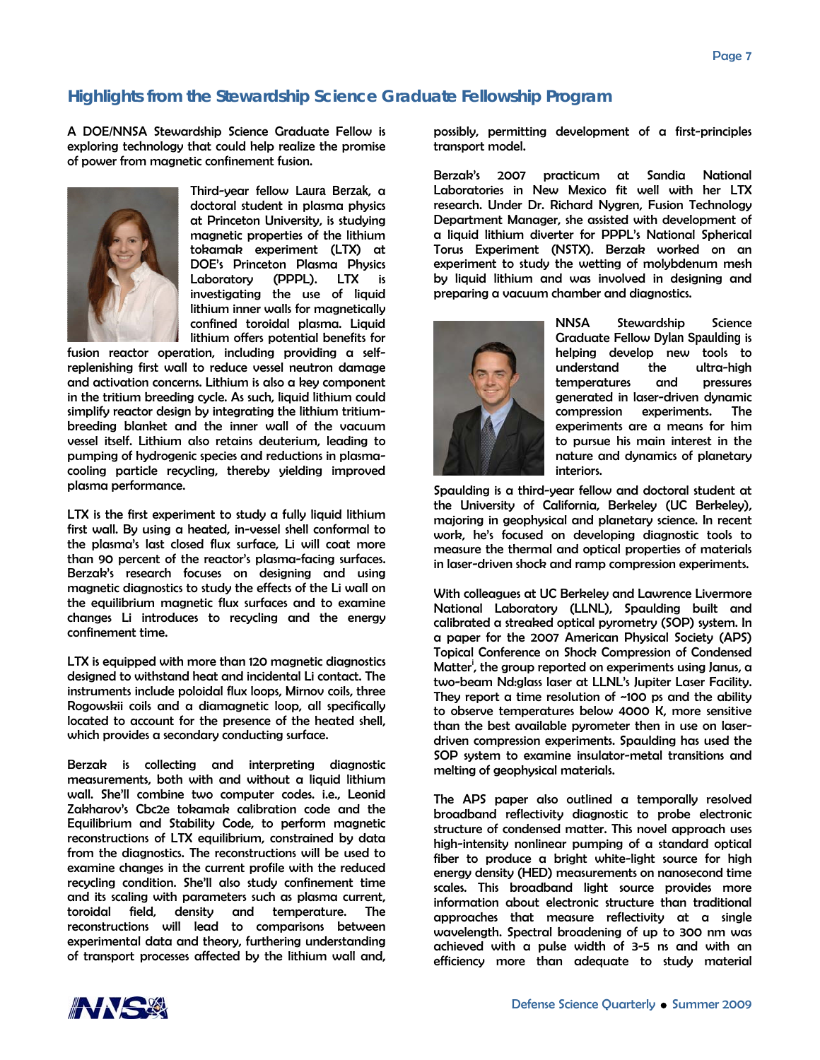# **Highlights from the Stewardship Science Graduate Fellowship Program**

A DOE/NNSA Stewardship Science Graduate Fellow is exploring technology that could help realize the promise of power from magnetic confinement fusion.



Third-year fellow **Laura Berzak**, a doctoral student in plasma physics at Princeton University, is studying magnetic properties of the lithium tokamak experiment (LTX) at DOE's Princeton Plasma Physics Laboratory (PPPL). LTX is investigating the use of liquid lithium inner walls for magnetically confined toroidal plasma. Liquid lithium offers potential benefits for

fusion reactor operation, including providing a selfreplenishing first wall to reduce vessel neutron damage and activation concerns. Lithium is also a key component in the tritium breeding cycle. As such, liquid lithium could simplify reactor design by integrating the lithium tritiumbreeding blanket and the inner wall of the vacuum vessel itself. Lithium also retains deuterium, leading to pumping of hydrogenic species and reductions in plasmacooling particle recycling, thereby yielding improved plasma performance.

LTX is the first experiment to study a fully liquid lithium first wall. By using a heated, in-vessel shell conformal to the plasma's last closed flux surface, Li will coat more than 90 percent of the reactor's plasma-facing surfaces. Berzak's research focuses on designing and using magnetic diagnostics to study the effects of the Li wall on the equilibrium magnetic flux surfaces and to examine changes Li introduces to recycling and the energy confinement time.

LTX is equipped with more than 120 magnetic diagnostics designed to withstand heat and incidental Li contact. The instruments include poloidal flux loops, Mirnov coils, three Rogowskii coils and a diamagnetic loop, all specifically located to account for the presence of the heated shell, which provides a secondary conducting surface.

Berzak is collecting and interpreting diagnostic measurements, both with and without a liquid lithium wall. She'll combine two computer codes. i.e., Leonid Zakharov's Cbc2e tokamak calibration code and the Equilibrium and Stability Code, to perform magnetic reconstructions of LTX equilibrium, constrained by data from the diagnostics. The reconstructions will be used to examine changes in the current profile with the reduced recycling condition. She'll also study confinement time and its scaling with parameters such as plasma current, toroidal field, density and temperature. The reconstructions will lead to comparisons between experimental data and theory, furthering understanding of transport processes affected by the lithium wall and,

possibly, permitting development of a first-principles transport model.

Berzak's 2007 practicum at Sandia National Laboratories in New Mexico fit well with her LTX research. Under Dr. Richard Nygren, Fusion Technology Department Manager, she assisted with development of a liquid lithium diverter for PPPL's National Spherical Torus Experiment (NSTX). Berzak worked on an experiment to study the wetting of molybdenum mesh by liquid lithium and was involved in designing and preparing a vacuum chamber and diagnostics.



NNSA Stewardship Science Graduate Fellow **Dylan Spaulding** is helping develop new tools to understand the ultra-high temperatures and pressures generated in laser-driven dynamic compression experiments. The experiments are a means for him to pursue his main interest in the nature and dynamics of planetary interiors.

Spaulding is a third-year fellow and doctoral student at the University of California, Berkeley (UC Berkeley), majoring in geophysical and planetary science. In recent work, he's focused on developing diagnostic tools to measure the thermal and optical properties of materials in laser-driven shock and ramp compression experiments.

With colleagues at UC Berkeley and Lawrence Livermore National Laboratory (LLNL), Spaulding built and calibrated a streaked optical pyrometry (SOP) system. In a paper for the 2007 American Physical Society (APS) Topical Conference on Shock Compression of Condensed Matter', the group reported on experiments using Janus, a two-beam Nd:glass laser at LLNL's Jupiter Laser Facility. They report a time resolution of  $-100$  ps and the ability to observe temperatures below 4000 K, more sensitive than the best available pyrometer then in use on laserdriven compression experiments. Spaulding has used the SOP system to examine insulator-metal transitions and melting of geophysical materials.

The APS paper also outlined a temporally resolved broadband reflectivity diagnostic to probe electronic structure of condensed matter. This novel approach uses high-intensity nonlinear pumping of a standard optical fiber to produce a bright white-light source for high energy density (HED) measurements on nanosecond time scales. This broadband light source provides more information about electronic structure than traditional approaches that measure reflectivity at a single wavelength. Spectral broadening of up to 300 nm was achieved with a pulse width of 3-5 ns and with an efficiency more than adequate to study material